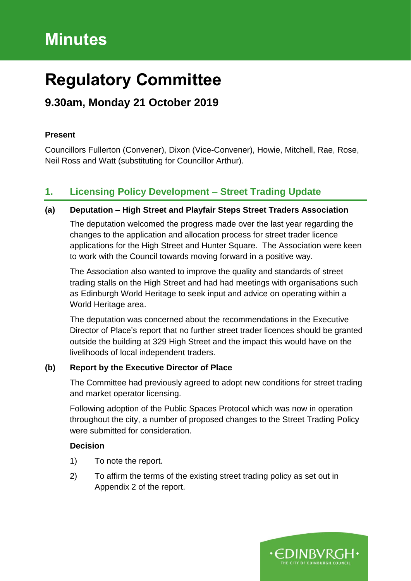# **Minutes**

# **Regulatory Committee**

# **9.30am, Monday 21 October 2019**

#### **Present**

Councillors Fullerton (Convener), Dixon (Vice-Convener), Howie, Mitchell, Rae, Rose, Neil Ross and Watt (substituting for Councillor Arthur).

## **1. Licensing Policy Development – Street Trading Update**

#### **(a) Deputation – High Street and Playfair Steps Street Traders Association**

The deputation welcomed the progress made over the last year regarding the changes to the application and allocation process for street trader licence applications for the High Street and Hunter Square. The Association were keen to work with the Council towards moving forward in a positive way.

The Association also wanted to improve the quality and standards of street trading stalls on the High Street and had had meetings with organisations such as Edinburgh World Heritage to seek input and advice on operating within a World Heritage area.

The deputation was concerned about the recommendations in the Executive Director of Place's report that no further street trader licences should be granted outside the building at 329 High Street and the impact this would have on the livelihoods of local independent traders.

#### **(b) Report by the Executive Director of Place**

The Committee had previously agreed to adopt new conditions for street trading and market operator licensing.

Following adoption of the Public Spaces Protocol which was now in operation throughout the city, a number of proposed changes to the Street Trading Policy were submitted for consideration.

### **Decision**

- 1) To note the report.
- 2) To affirm the terms of the existing street trading policy as set out in Appendix 2 of the report.

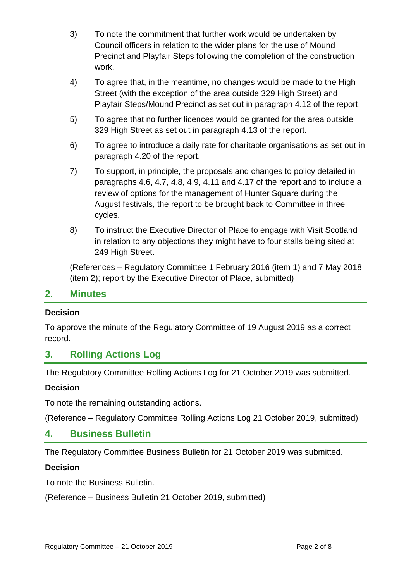- 3) To note the commitment that further work would be undertaken by Council officers in relation to the wider plans for the use of Mound Precinct and Playfair Steps following the completion of the construction work.
- 4) To agree that, in the meantime, no changes would be made to the High Street (with the exception of the area outside 329 High Street) and Playfair Steps/Mound Precinct as set out in paragraph 4.12 of the report.
- 5) To agree that no further licences would be granted for the area outside 329 High Street as set out in paragraph 4.13 of the report.
- 6) To agree to introduce a daily rate for charitable organisations as set out in paragraph 4.20 of the report.
- 7) To support, in principle, the proposals and changes to policy detailed in paragraphs 4.6, 4.7, 4.8, 4.9, 4.11 and 4.17 of the report and to include a review of options for the management of Hunter Square during the August festivals, the report to be brought back to Committee in three cycles.
- 8) To instruct the Executive Director of Place to engage with Visit Scotland in relation to any objections they might have to four stalls being sited at 249 High Street.

(References – Regulatory Committee 1 February 2016 (item 1) and 7 May 2018 (item 2); report by the Executive Director of Place, submitted)

#### **2. Minutes**

#### **Decision**

To approve the minute of the Regulatory Committee of 19 August 2019 as a correct record.

## **3. Rolling Actions Log**

The Regulatory Committee Rolling Actions Log for 21 October 2019 was submitted.

#### **Decision**

To note the remaining outstanding actions.

(Reference – Regulatory Committee Rolling Actions Log 21 October 2019, submitted)

#### **4. Business Bulletin**

The Regulatory Committee Business Bulletin for 21 October 2019 was submitted.

#### **Decision**

To note the Business Bulletin.

(Reference – Business Bulletin 21 October 2019, submitted)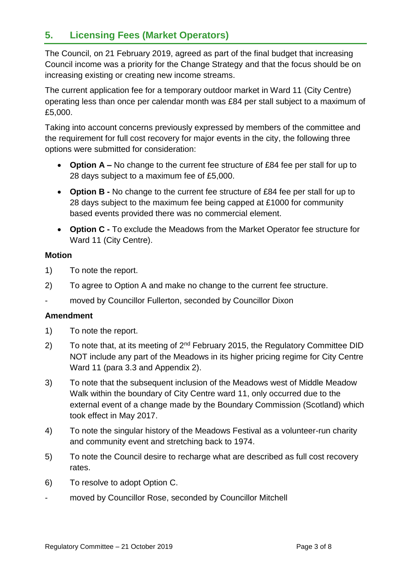## **5. Licensing Fees (Market Operators)**

The Council, on 21 February 2019, agreed as part of the final budget that increasing Council income was a priority for the Change Strategy and that the focus should be on increasing existing or creating new income streams.

The current application fee for a temporary outdoor market in Ward 11 (City Centre) operating less than once per calendar month was £84 per stall subject to a maximum of £5,000.

Taking into account concerns previously expressed by members of the committee and the requirement for full cost recovery for major events in the city, the following three options were submitted for consideration:

- **Option A –** No change to the current fee structure of £84 fee per stall for up to 28 days subject to a maximum fee of £5,000.
- **Option B -** No change to the current fee structure of £84 fee per stall for up to 28 days subject to the maximum fee being capped at £1000 for community based events provided there was no commercial element.
- **Option C -** To exclude the Meadows from the Market Operator fee structure for Ward 11 (City Centre).

#### **Motion**

- 1) To note the report.
- 2) To agree to Option A and make no change to the current fee structure.
- moved by Councillor Fullerton, seconded by Councillor Dixon

#### **Amendment**

- 1) To note the report.
- 2) To note that, at its meeting of  $2^{nd}$  February 2015, the Regulatory Committee DID NOT include any part of the Meadows in its higher pricing regime for City Centre Ward 11 (para 3.3 and Appendix 2).
- 3) To note that the subsequent inclusion of the Meadows west of Middle Meadow Walk within the boundary of City Centre ward 11, only occurred due to the external event of a change made by the Boundary Commission (Scotland) which took effect in May 2017.
- 4) To note the singular history of the Meadows Festival as a volunteer-run charity and community event and stretching back to 1974.
- 5) To note the Council desire to recharge what are described as full cost recovery rates.
- 6) To resolve to adopt Option C.
- moved by Councillor Rose, seconded by Councillor Mitchell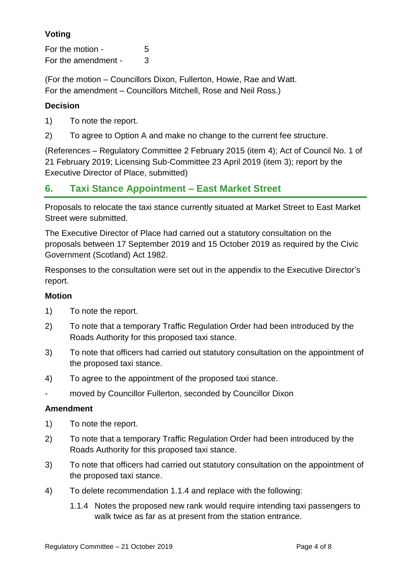## **Voting**

For the motion - 5 For the amendment - 3

(For the motion – Councillors Dixon, Fullerton, Howie, Rae and Watt. For the amendment – Councillors Mitchell, Rose and Neil Ross.)

#### **Decision**

- 1) To note the report.
- 2) To agree to Option A and make no change to the current fee structure.

(References – Regulatory Committee 2 February 2015 (item 4); Act of Council No. 1 of 21 February 2019; Licensing Sub-Committee 23 April 2019 (item 3); report by the Executive Director of Place, submitted)

## **6. Taxi Stance Appointment – East Market Street**

Proposals to relocate the taxi stance currently situated at Market Street to East Market Street were submitted.

The Executive Director of Place had carried out a statutory consultation on the proposals between 17 September 2019 and 15 October 2019 as required by the Civic Government (Scotland) Act 1982.

Responses to the consultation were set out in the appendix to the Executive Director's report.

#### **Motion**

- 1) To note the report.
- 2) To note that a temporary Traffic Regulation Order had been introduced by the Roads Authority for this proposed taxi stance.
- 3) To note that officers had carried out statutory consultation on the appointment of the proposed taxi stance.
- 4) To agree to the appointment of the proposed taxi stance.
- moved by Councillor Fullerton, seconded by Councillor Dixon

#### **Amendment**

- 1) To note the report.
- 2) To note that a temporary Traffic Regulation Order had been introduced by the Roads Authority for this proposed taxi stance.
- 3) To note that officers had carried out statutory consultation on the appointment of the proposed taxi stance.
- 4) To delete recommendation 1.1.4 and replace with the following:
	- 1.1.4 Notes the proposed new rank would require intending taxi passengers to walk twice as far as at present from the station entrance.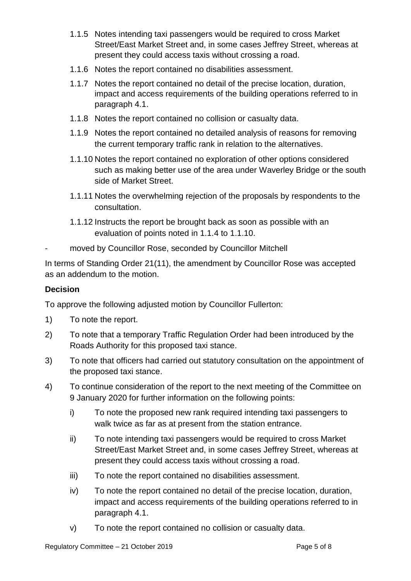- 1.1.5 Notes intending taxi passengers would be required to cross Market Street/East Market Street and, in some cases Jeffrey Street, whereas at present they could access taxis without crossing a road.
- 1.1.6 Notes the report contained no disabilities assessment.
- 1.1.7 Notes the report contained no detail of the precise location, duration, impact and access requirements of the building operations referred to in paragraph 4.1.
- 1.1.8 Notes the report contained no collision or casualty data.
- 1.1.9 Notes the report contained no detailed analysis of reasons for removing the current temporary traffic rank in relation to the alternatives.
- 1.1.10 Notes the report contained no exploration of other options considered such as making better use of the area under Waverley Bridge or the south side of Market Street.
- 1.1.11 Notes the overwhelming rejection of the proposals by respondents to the consultation.
- 1.1.12 Instructs the report be brought back as soon as possible with an evaluation of points noted in 1.1.4 to 1.1.10.
- moved by Councillor Rose, seconded by Councillor Mitchell

In terms of Standing Order 21(11), the amendment by Councillor Rose was accepted as an addendum to the motion.

#### **Decision**

To approve the following adjusted motion by Councillor Fullerton:

- 1) To note the report.
- 2) To note that a temporary Traffic Regulation Order had been introduced by the Roads Authority for this proposed taxi stance.
- 3) To note that officers had carried out statutory consultation on the appointment of the proposed taxi stance.
- 4) To continue consideration of the report to the next meeting of the Committee on 9 January 2020 for further information on the following points:
	- i) To note the proposed new rank required intending taxi passengers to walk twice as far as at present from the station entrance.
	- ii) To note intending taxi passengers would be required to cross Market Street/East Market Street and, in some cases Jeffrey Street, whereas at present they could access taxis without crossing a road.
	- iii) To note the report contained no disabilities assessment.
	- iv) To note the report contained no detail of the precise location, duration, impact and access requirements of the building operations referred to in paragraph 4.1.
	- v) To note the report contained no collision or casualty data.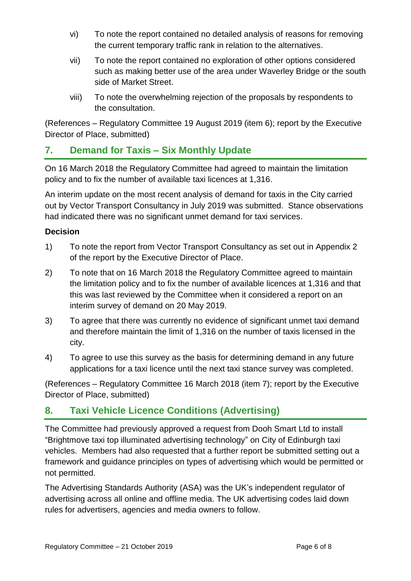- vi) To note the report contained no detailed analysis of reasons for removing the current temporary traffic rank in relation to the alternatives.
- vii) To note the report contained no exploration of other options considered such as making better use of the area under Waverley Bridge or the south side of Market Street.
- viii) To note the overwhelming rejection of the proposals by respondents to the consultation.

(References – Regulatory Committee 19 August 2019 (item 6); report by the Executive Director of Place, submitted)

## **7. Demand for Taxis – Six Monthly Update**

On 16 March 2018 the Regulatory Committee had agreed to maintain the limitation policy and to fix the number of available taxi licences at 1,316.

An interim update on the most recent analysis of demand for taxis in the City carried out by Vector Transport Consultancy in July 2019 was submitted. Stance observations had indicated there was no significant unmet demand for taxi services.

### **Decision**

- 1) To note the report from Vector Transport Consultancy as set out in Appendix 2 of the report by the Executive Director of Place.
- 2) To note that on 16 March 2018 the Regulatory Committee agreed to maintain the limitation policy and to fix the number of available licences at 1,316 and that this was last reviewed by the Committee when it considered a report on an interim survey of demand on 20 May 2019.
- 3) To agree that there was currently no evidence of significant unmet taxi demand and therefore maintain the limit of 1,316 on the number of taxis licensed in the city.
- 4) To agree to use this survey as the basis for determining demand in any future applications for a taxi licence until the next taxi stance survey was completed.

(References – Regulatory Committee 16 March 2018 (item 7); report by the Executive Director of Place, submitted)

## **8. Taxi Vehicle Licence Conditions (Advertising)**

The Committee had previously approved a request from Dooh Smart Ltd to install "Brightmove taxi top illuminated advertising technology" on City of Edinburgh taxi vehicles. Members had also requested that a further report be submitted setting out a framework and guidance principles on types of advertising which would be permitted or not permitted.

The Advertising Standards Authority (ASA) was the UK's independent regulator of advertising across all online and offline media. The UK advertising codes laid down rules for advertisers, agencies and media owners to follow.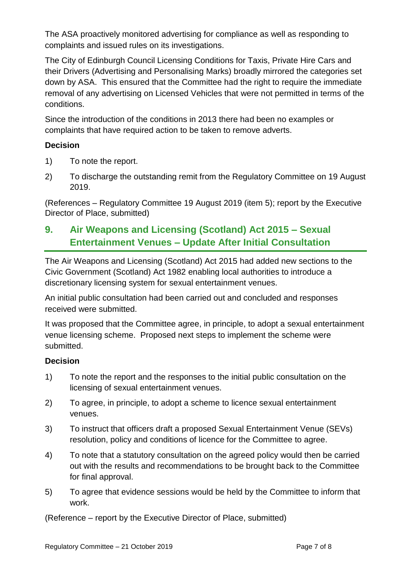The ASA proactively monitored advertising for compliance as well as responding to complaints and issued rules on its investigations.

The City of Edinburgh Council Licensing Conditions for Taxis, Private Hire Cars and their Drivers (Advertising and Personalising Marks) broadly mirrored the categories set down by ASA. This ensured that the Committee had the right to require the immediate removal of any advertising on Licensed Vehicles that were not permitted in terms of the conditions.

Since the introduction of the conditions in 2013 there had been no examples or complaints that have required action to be taken to remove adverts.

#### **Decision**

- 1) To note the report.
- 2) To discharge the outstanding remit from the Regulatory Committee on 19 August 2019.

(References – Regulatory Committee 19 August 2019 (item 5); report by the Executive Director of Place, submitted)

## **9. Air Weapons and Licensing (Scotland) Act 2015 – Sexual Entertainment Venues – Update After Initial Consultation**

The Air Weapons and Licensing (Scotland) Act 2015 had added new sections to the Civic Government (Scotland) Act 1982 enabling local authorities to introduce a discretionary licensing system for sexual entertainment venues.

An initial public consultation had been carried out and concluded and responses received were submitted.

It was proposed that the Committee agree, in principle, to adopt a sexual entertainment venue licensing scheme. Proposed next steps to implement the scheme were submitted.

### **Decision**

- 1) To note the report and the responses to the initial public consultation on the licensing of sexual entertainment venues.
- 2) To agree, in principle, to adopt a scheme to licence sexual entertainment venues.
- 3) To instruct that officers draft a proposed Sexual Entertainment Venue (SEVs) resolution, policy and conditions of licence for the Committee to agree.
- 4) To note that a statutory consultation on the agreed policy would then be carried out with the results and recommendations to be brought back to the Committee for final approval.
- 5) To agree that evidence sessions would be held by the Committee to inform that work.

(Reference – report by the Executive Director of Place, submitted)